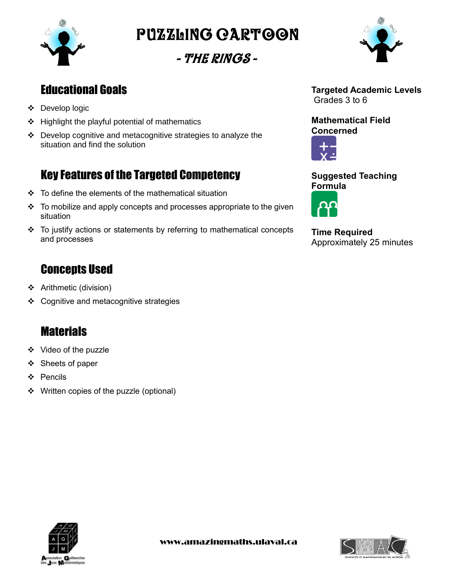

Puzzling cartoon

- The Rings -



## Educational Goals

- Develop logic
- $\div$  Highlight the playful potential of mathematics
- Develop cognitive and metacognitive strategies to analyze the situation and find the solution

# Key Features of the Targeted Competency

- $\div$  To define the elements of the mathematical situation
- $\cdot \cdot$  To mobilize and apply concepts and processes appropriate to the given situation
- To justify actions or statements by referring to mathematical concepts and processes

## **Concepts Used**

- Arithmetic (division)
- ❖ Cognitive and metacognitive strategies

## **Materials**

- ❖ Video of the puzzle
- ❖ Sheets of paper
- ❖ Pencils
- ❖ Written copies of the puzzle (optional)



### **Mathematical Field Concerned**



### **Suggested Teaching Formula**



**Time Required** Approximately 25 minutes